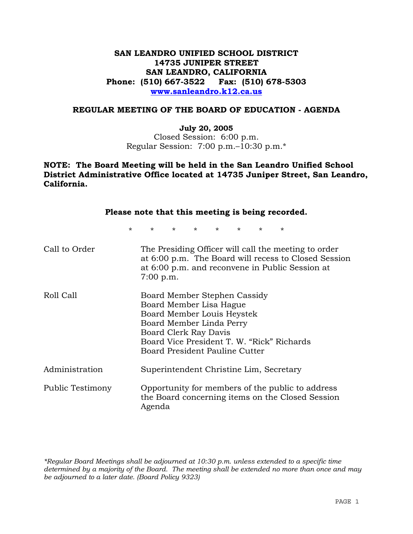# **SAN LEANDRO UNIFIED SCHOOL DISTRICT 14735 JUNIPER STREET SAN LEANDRO, CALIFORNIA Phone: (510) 667-3522 Fax: (510) 678-5303 www.sanleandro.k12.ca.us**

## **REGULAR MEETING OF THE BOARD OF EDUCATION - AGENDA**

#### **July 20, 2005**

Closed Session: 6:00 p.m. Regular Session: 7:00 p.m.–10:30 p.m.\*

# **NOTE: The Board Meeting will be held in the San Leandro Unified School District Administrative Office located at 14735 Juniper Street, San Leandro, California.**

|                  | Please note that this meeting is being recorded.                                                                                                                             |         |         |                     |                |         |                                                                                                         |                                                      |
|------------------|------------------------------------------------------------------------------------------------------------------------------------------------------------------------------|---------|---------|---------------------|----------------|---------|---------------------------------------------------------------------------------------------------------|------------------------------------------------------|
| $\star$          | $\star$                                                                                                                                                                      | $\star$ | $\star$ | $\star$ and $\star$ | $\star$ $\sim$ | $\star$ | $\star$                                                                                                 |                                                      |
| Call to Order    | $7:00$ p.m.                                                                                                                                                                  |         |         |                     |                |         | The Presiding Officer will call the meeting to order<br>at 6:00 p.m. and reconvene in Public Session at | at 6:00 p.m. The Board will recess to Closed Session |
| Roll Call        | Board Member Stephen Cassidy<br>Board Member Lisa Hague<br>Board Member Louis Heystek<br>Board Member Linda Perry<br>Board Clerk Ray Davis<br>Board President Pauline Cutter |         |         |                     |                |         | Board Vice President T. W. "Rick" Richards                                                              |                                                      |
| Administration   |                                                                                                                                                                              |         |         |                     |                |         | Superintendent Christine Lim, Secretary                                                                 |                                                      |
| Public Testimony | Agenda                                                                                                                                                                       |         |         |                     |                |         | Opportunity for members of the public to address<br>the Board concerning items on the Closed Session    |                                                      |

*\*Regular Board Meetings shall be adjourned at 10:30 p.m. unless extended to a specific time determined by a majority of the Board. The meeting shall be extended no more than once and may be adjourned to a later date. (Board Policy 9323)*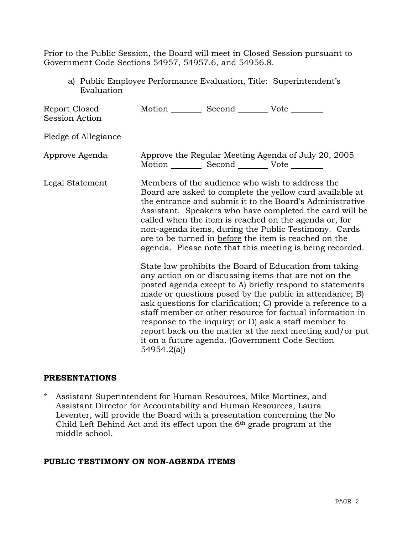Prior to the Public Session, the Board will meet in Closed Session pursuant to Government Code Sections 54957, 54957.6, and 54956.8.

a) Public Employee Performance Evaluation, Title: Superintendent's Evaluation

| Report Closed<br>Session Action | Motion __________ Second __________ Vote ________                                                                                                                                                                                                                                                                                                                                                                                                                                                                                                        |  |                                                     |  |  |
|---------------------------------|----------------------------------------------------------------------------------------------------------------------------------------------------------------------------------------------------------------------------------------------------------------------------------------------------------------------------------------------------------------------------------------------------------------------------------------------------------------------------------------------------------------------------------------------------------|--|-----------------------------------------------------|--|--|
| Pledge of Allegiance            |                                                                                                                                                                                                                                                                                                                                                                                                                                                                                                                                                          |  |                                                     |  |  |
| Approve Agenda                  | Motion ___________ Second ____________ Vote _________                                                                                                                                                                                                                                                                                                                                                                                                                                                                                                    |  | Approve the Regular Meeting Agenda of July 20, 2005 |  |  |
| Legal Statement                 | Members of the audience who wish to address the<br>Board are asked to complete the yellow card available at<br>the entrance and submit it to the Board's Administrative<br>Assistant. Speakers who have completed the card will be<br>called when the item is reached on the agenda or, for<br>non-agenda items, during the Public Testimony. Cards<br>are to be turned in before the item is reached on the<br>agenda. Please note that this meeting is being recorded.                                                                                 |  |                                                     |  |  |
|                                 | State law prohibits the Board of Education from taking<br>any action on or discussing items that are not on the<br>posted agenda except to A) briefly respond to statements<br>made or questions posed by the public in attendance; B)<br>ask questions for clarification; C) provide a reference to a<br>staff member or other resource for factual information in<br>response to the inquiry; or D) ask a staff member to<br>report back on the matter at the next meeting and/or put<br>it on a future agenda. (Government Code Section<br>54954.2(a) |  |                                                     |  |  |

## **PRESENTATIONS**

\* Assistant Superintendent for Human Resources, Mike Martinez, and Assistant Director for Accountability and Human Resources, Laura Leventer, will provide the Board with a presentation concerning the No Child Left Behind Act and its effect upon the 6th grade program at the middle school.

## **PUBLIC TESTIMONY ON NON-AGENDA ITEMS**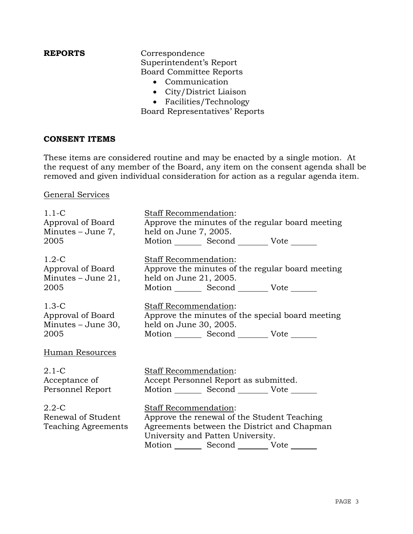**REPORTS** Correspondence Superintendent's Report Board Committee Reports

- Communication
- City/District Liaison
- Facilities/Technology

Board Representatives' Reports

## **CONSENT ITEMS**

These items are considered routine and may be enacted by a single motion. At the request of any member of the Board, any item on the consent agenda shall be removed and given individual consideration for action as a regular agenda item.

# General Services

| $1.1 - C$                                              | Staff Recommendation:                                                                                                                                                          |
|--------------------------------------------------------|--------------------------------------------------------------------------------------------------------------------------------------------------------------------------------|
| Approval of Board                                      | Approve the minutes of the regular board meeting                                                                                                                               |
| Minutes – June 7,                                      | held on June 7, 2005.                                                                                                                                                          |
| 2005                                                   | Motion Second Vote                                                                                                                                                             |
| $1.2-C$                                                | Staff Recommendation:                                                                                                                                                          |
| Approval of Board                                      | Approve the minutes of the regular board meeting                                                                                                                               |
| Minutes $-$ June 21,                                   | held on June 21, 2005.                                                                                                                                                         |
| 2005                                                   | Motion Second Vote _______                                                                                                                                                     |
| $1.3-C$                                                | Staff Recommendation:                                                                                                                                                          |
| Approval of Board                                      | Approve the minutes of the special board meeting                                                                                                                               |
| Minutes $-$ June 30,                                   | held on June 30, 2005.                                                                                                                                                         |
| 2005                                                   | Motion _________ Second __________ Vote _______                                                                                                                                |
| Human Resources                                        |                                                                                                                                                                                |
| $2.1-C$                                                | Staff Recommendation:                                                                                                                                                          |
| Acceptance of                                          | Accept Personnel Report as submitted.                                                                                                                                          |
| Personnel Report                                       | Motion Second Vote                                                                                                                                                             |
| $2.2 - C$<br>Renewal of Student<br>Teaching Agreements | Staff Recommendation:<br>Approve the renewal of the Student Teaching<br>Agreements between the District and Chapman<br>University and Patten University.<br>Motion Second Vote |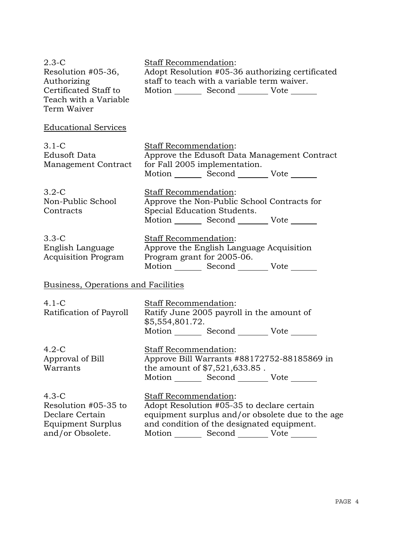| $2.3-C$<br>Resolution #05-36,<br>Authorizing<br>Certificated Staff to<br>Teach with a Variable<br>Term Waiver | Staff Recommendation:<br>Adopt Resolution #05-36 authorizing certificated<br>staff to teach with a variable term waiver.<br>Motion _________ Second ___________ Vote _______                                                    |
|---------------------------------------------------------------------------------------------------------------|---------------------------------------------------------------------------------------------------------------------------------------------------------------------------------------------------------------------------------|
| <b>Educational Services</b>                                                                                   |                                                                                                                                                                                                                                 |
| $3.1 - C$<br><b>Edusoft Data</b><br>Management Contract                                                       | <b>Staff Recommendation:</b><br>Approve the Edusoft Data Management Contract<br>for Fall 2005 implementation.<br>Motion _________ Second ___________ Vote _______                                                               |
| $3.2-C$<br>Non-Public School<br>Contracts                                                                     | Staff Recommendation:<br>Approve the Non-Public School Contracts for<br>Special Education Students.<br>Motion Second Vote                                                                                                       |
| $3.3-C$<br>English Language<br><b>Acquisition Program</b>                                                     | Staff Recommendation:<br>Approve the English Language Acquisition<br>Program grant for 2005-06.<br>Motion _________ Second __________ Vote _______                                                                              |
| Business, Operations and Facilities                                                                           |                                                                                                                                                                                                                                 |
| $4.1-C$<br>Ratification of Payroll                                                                            | Staff Recommendation:<br>Ratify June 2005 payroll in the amount of<br>\$5,554,801.72.<br>Motion _________ Second __________ Vote _______                                                                                        |
| $4.2-C$<br>Approval of Bill<br>Warrants                                                                       | <b>Staff Recommendation:</b><br>Approve Bill Warrants #88172752-88185869 in<br>the amount of \$7,521,633.85.<br>Motion _________ Second __________ Vote _______                                                                 |
| $4.3-C$<br>Resolution #05-35 to<br>Declare Certain<br><b>Equipment Surplus</b><br>and/or Obsolete.            | <b>Staff Recommendation:</b><br>Adopt Resolution #05-35 to declare certain<br>equipment surplus and/or obsolete due to the age<br>and condition of the designated equipment.<br>Motion _________ Second __________ Vote _______ |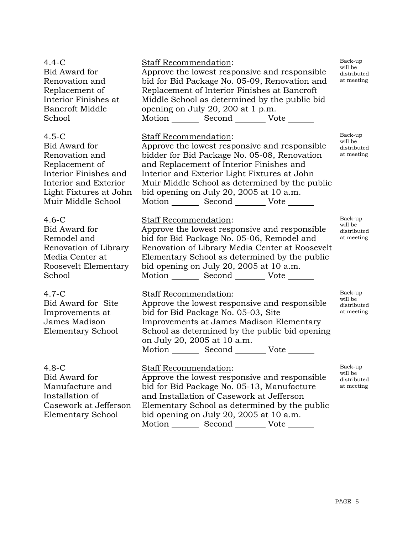| $4.4-C$<br>Bid Award for<br>Renovation and<br>Replacement of<br>Interior Finishes at<br><b>Bancroft Middle</b><br>School                                       | Staff Recommendation:<br>Approve the lowest responsive and responsible<br>bid for Bid Package No. 05-09, Renovation and<br>Replacement of Interior Finishes at Bancroft<br>Middle School as determined by the public bid<br>opening on July 20, 200 at 1 p.m.<br>Motion _________ Second _________ Vote _______                                                    | Back-up<br>will be<br>distributed<br>at meeting |
|----------------------------------------------------------------------------------------------------------------------------------------------------------------|--------------------------------------------------------------------------------------------------------------------------------------------------------------------------------------------------------------------------------------------------------------------------------------------------------------------------------------------------------------------|-------------------------------------------------|
| $4.5-C$<br>Bid Award for<br>Renovation and<br>Replacement of<br>Interior Finishes and<br>Interior and Exterior<br>Light Fixtures at John<br>Muir Middle School | Staff Recommendation:<br>Approve the lowest responsive and responsible<br>bidder for Bid Package No. 05-08, Renovation<br>and Replacement of Interior Finishes and<br>Interior and Exterior Light Fixtures at John<br>Muir Middle School as determined by the public<br>bid opening on July 20, 2005 at 10 a.m.<br>Motion _________ Second __________ Vote _______ | Back-up<br>will be<br>distributed<br>at meeting |
| $4.6-C$<br>Bid Award for<br>Remodel and<br>Renovation of Library<br>Media Center at<br>Roosevelt Elementary<br>School                                          | <b>Staff Recommendation:</b><br>Approve the lowest responsive and responsible<br>bid for Bid Package No. 05-06, Remodel and<br>Renovation of Library Media Center at Roosevelt<br>Elementary School as determined by the public<br>bid opening on July 20, 2005 at 10 a.m.<br>Motion _________ Second __________ Vote _______                                      | Back-up<br>will be<br>distributed<br>at meeting |
| $4.7-C$<br>Bid Award for Site<br>Improvements at<br>James Madison<br>Elementary School                                                                         | Staff Recommendation:<br>Approve the lowest responsive and responsible<br>bid for Bid Package No. 05-03, Site<br>Improvements at James Madison Elementary<br>School as determined by the public bid opening<br>on July 20, 2005 at 10 a.m.<br>Motion Second Vote                                                                                                   | Back-up<br>will be<br>distributed<br>at meeting |
| $4.8 - C$<br>Bid Award for<br>Manufacture and<br>Installation of<br>Casework at Jefferson<br><b>Elementary School</b>                                          | <b>Staff Recommendation:</b><br>Approve the lowest responsive and responsible<br>bid for Bid Package No. 05-13, Manufacture<br>and Installation of Casework at Jefferson<br>Elementary School as determined by the public<br>bid opening on July 20, 2005 at 10 a.m.                                                                                               | Back-up<br>will be<br>distributed<br>at meeting |

bid opening on July 20, 2005 at 10 a.m. Motion Second Vote

PAGE 5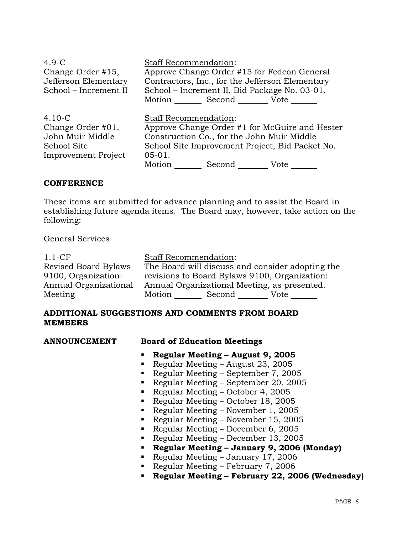| $4.9-C$<br>Change Order #15,<br>Jefferson Elementary<br>School - Increment II                    | <b>Staff Recommendation:</b>                       | Approve Change Order #15 for Fedcon General<br>Contractors, Inc., for the Jefferson Elementary<br>School – Increment II, Bid Package No. 03-01.<br>Motion Second Vote |                                                                                                           |
|--------------------------------------------------------------------------------------------------|----------------------------------------------------|-----------------------------------------------------------------------------------------------------------------------------------------------------------------------|-----------------------------------------------------------------------------------------------------------|
| $4.10 - C$<br>Change Order #01,<br>John Muir Middle<br>School Site<br><b>Improvement Project</b> | <b>Staff Recommendation:</b><br>$05-01.$<br>Motion | Construction Co., for the John Muir Middle<br>Second                                                                                                                  | Approve Change Order #1 for McGuire and Hester<br>School Site Improvement Project, Bid Packet No.<br>Vote |

# **CONFERENCE**

These items are submitted for advance planning and to assist the Board in establishing future agenda items. The Board may, however, take action on the following:

## General Services

| $1.1 - CF$            | <b>Staff Recommendation:</b>                     |
|-----------------------|--------------------------------------------------|
| Revised Board Bylaws  | The Board will discuss and consider adopting the |
| 9100, Organization:   | revisions to Board Bylaws 9100, Organization:    |
| Annual Organizational | Annual Organizational Meeting, as presented.     |
| Meeting               | Motion<br>Second<br>Vote                         |

# **ADDITIONAL SUGGESTIONS AND COMMENTS FROM BOARD MEMBERS**

## **Board of Education Meetings**

- **Regular Meeting August 9, 2005**
- Regular Meeting August 23, 2005
- Regular Meeting September 7, 2005
- Regular Meeting September 20, 2005
- Regular Meeting October 4, 2005
- Regular Meeting October 18, 2005
- Regular Meeting November 1, 2005
- Regular Meeting November 15, 2005
- Regular Meeting December 6, 2005
- Regular Meeting December 13, 2005
- **Regular Meeting January 9, 2006 (Monday)**
- Regular Meeting January 17, 2006
- Regular Meeting February 7, 2006
- **Regular Meeting February 22, 2006 (Wednesday)**